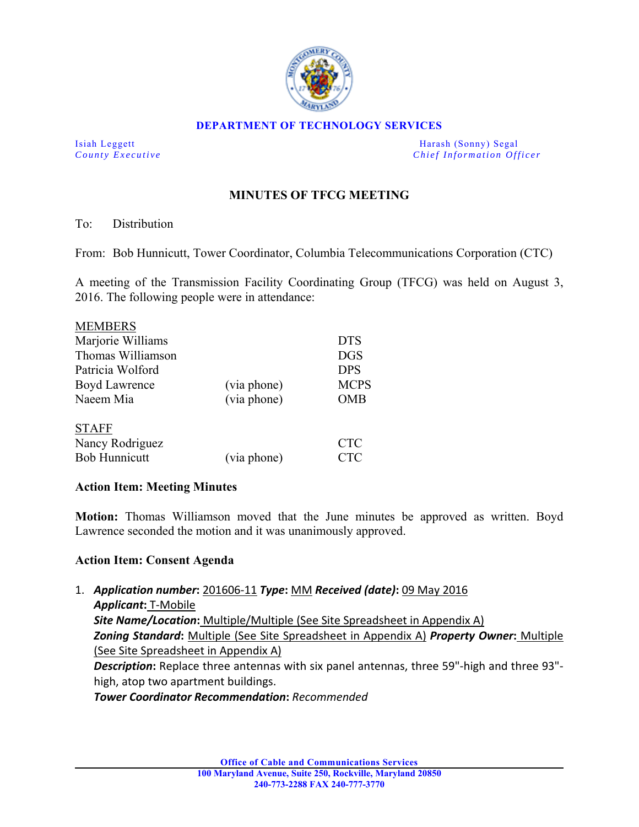

#### **DEPARTMENT OF TECHNOLOGY SERVICES**

Isiah Leggett Harash (Sonny) Segal *County Executive* **Countries and** *Chief Information Officer Chief Information Officer* 

# **MINUTES OF TFCG MEETING**

### To: Distribution

From: Bob Hunnicutt, Tower Coordinator, Columbia Telecommunications Corporation (CTC)

A meeting of the Transmission Facility Coordinating Group (TFCG) was held on August 3, 2016. The following people were in attendance:

| <b>MEMBERS</b>       |             |             |
|----------------------|-------------|-------------|
| Marjorie Williams    |             | <b>DTS</b>  |
| Thomas Williamson    |             | <b>DGS</b>  |
| Patricia Wolford     |             | <b>DPS</b>  |
| <b>Boyd Lawrence</b> | (via phone) | <b>MCPS</b> |
| Naeem Mia            | (via phone) | <b>OMB</b>  |
| <b>STAFF</b>         |             |             |
| Nancy Rodriguez      |             | <b>CTC</b>  |
| <b>Bob Hunnicutt</b> | (via phone) | <b>CTC</b>  |

### **Action Item: Meeting Minutes**

**Motion:** Thomas Williamson moved that the June minutes be approved as written. Boyd Lawrence seconded the motion and it was unanimously approved.

### **Action Item: Consent Agenda**

1. *Application number***:** 201606‐11 *Type***:** MM *Received (date)***:** 09 May 2016 *Applicant***:** T‐Mobile *Site Name/Location***:** Multiple/Multiple (See Site Spreadsheet in Appendix A) *Zoning Standard***:** Multiple (See Site Spreadsheet in Appendix A) *Property Owner***:** Multiple (See Site Spreadsheet in Appendix A) **Description:** Replace three antennas with six panel antennas, three 59"-high and three 93"high, atop two apartment buildings.

*Tower Coordinator Recommendation***:** *Recommended*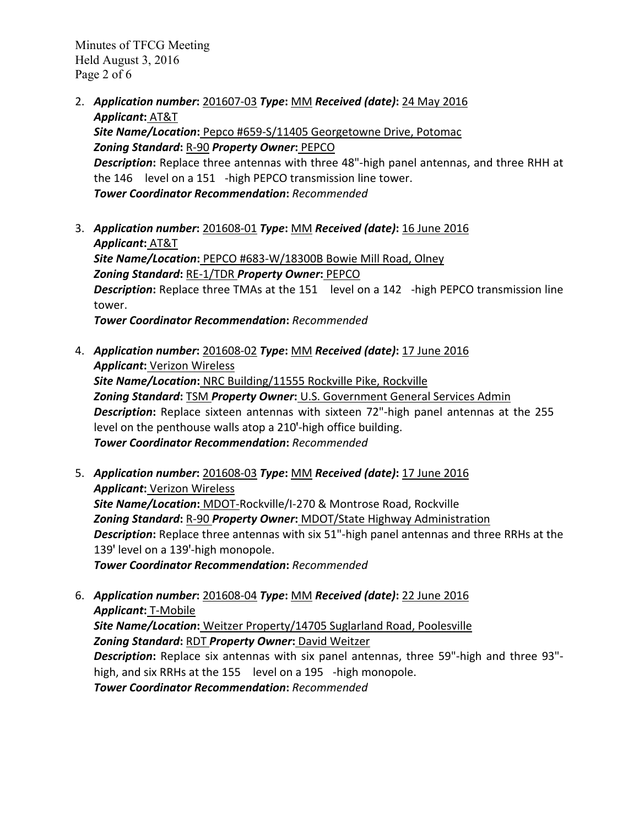Minutes of TFCG Meeting Held August 3, 2016 Page 2 of 6

- 2. *Application number***:** 201607‐03 *Type***:** MM *Received (date)***:** 24 May 2016 *Applicant***:** AT&T *Site Name/Location***:** Pepco #659‐S/11405 Georgetowne Drive, Potomac *Zoning Standard***:** R‐90 *Property Owner***:** PEPCO *Description***:** Replace three antennas with three 48"‐high panel antennas, and three RHH at the 146 level on a 151 - high PEPCO transmission line tower. *Tower Coordinator Recommendation***:** *Recommended*
- 3. *Application number***:** 201608‐01 *Type***:** MM *Received (date)***:** 16 June 2016 *Applicant***:** AT&T *Site Name/Location***:** PEPCO #683‐W/18300B Bowie Mill Road, Olney *Zoning Standard***:** RE‐1/TDR *Property Owner***:** PEPCO **Description:** Replace three TMAs at the 151 level on a 142 -high PEPCO transmission line tower. *Tower Coordinator Recommendation***:** *Recommended*
- 4. *Application number***:** 201608‐02 *Type***:** MM *Received (date)***:** 17 June 2016 *Applicant***:** Verizon Wireless *Site Name/Location***:** NRC Building/11555 Rockville Pike, Rockville *Zoning Standard***:** TSM *Property Owner***:** U.S. Government General Services Admin *Description***:** Replace sixteen antennas with sixteen 72"‐high panel antennas at the 255 level on the penthouse walls atop a 210'-high office building. *Tower Coordinator Recommendation***:** *Recommended*
- 5. *Application number***:** 201608‐03 *Type***:** MM *Received (date)***:** 17 June 2016 *Applicant***:** Verizon Wireless *Site Name/Location***:** MDOT‐Rockville/I‐270 & Montrose Road, Rockville *Zoning Standard***:** R‐90 *Property Owner***:** MDOT/State Highway Administration *Description***:** Replace three antennas with six 51"‐high panel antennas and three RRHs at the 139' level on a 139'-high monopole. *Tower Coordinator Recommendation***:** *Recommended*
- 6. *Application number***:** 201608‐04 *Type***:** MM *Received (date)***:** 22 June 2016 *Applicant***:** T‐Mobile *Site Name/Location***:** Weitzer Property/14705 Suglarland Road, Poolesville *Zoning Standard***:** RDT *Property Owner***:** David Weitzer *Description***:** Replace six antennas with six panel antennas, three 59"‐high and three 93"‐ high, and six RRHs at the 155 level on a 195 -high monopole. *Tower Coordinator Recommendation***:** *Recommended*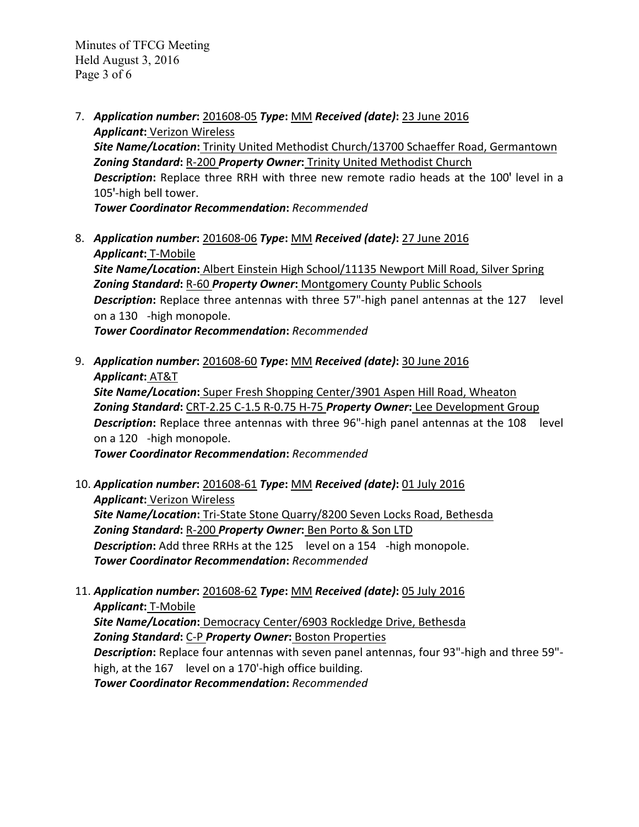- 7. *Application number***:** 201608‐05 *Type***:** MM *Received (date)***:** 23 June 2016 *Applicant***:** Verizon Wireless *Site Name/Location***:** Trinity United Methodist Church/13700 Schaeffer Road, Germantown *Zoning Standard***:** R‐200 *Property Owner***:** Trinity United Methodist Church **Description:** Replace three RRH with three new remote radio heads at the 100' level in a 105'-high bell tower. *Tower Coordinator Recommendation***:** *Recommended*
- 8. *Application number***:** 201608‐06 *Type***:** MM *Received (date)***:** 27 June 2016 *Applicant***:** T‐Mobile *Site Name/Location***:** Albert Einstein High School/11135 Newport Mill Road, Silver Spring *Zoning Standard***:** R‐60 *Property Owner***:** Montgomery County Public Schools **Description:** Replace three antennas with three 57"-high panel antennas at the 127 level on a 130 - high monopole. *Tower Coordinator Recommendation***:** *Recommended*

9. *Application number***:** 201608‐60 *Type***:** MM *Received (date)***:** 30 June 2016

*Applicant***:** AT&T *Site Name/Location***:** Super Fresh Shopping Center/3901 Aspen Hill Road, Wheaton *Zoning Standard***:** CRT‐2.25 C‐1.5 R‐0.75 H‐75 *Property Owner***:** Lee Development Group **Description:** Replace three antennas with three 96"-high panel antennas at the 108 level on a 120 - high monopole.

*Tower Coordinator Recommendation***:** *Recommended*

- 10. *Application number***:** 201608‐61 *Type***:** MM *Received (date)***:** 01 July 2016 *Applicant***:** Verizon Wireless *Site Name/Location***:** Tri‐State Stone Quarry/8200 Seven Locks Road, Bethesda *Zoning Standard***:** R‐200 *Property Owner***:** Ben Porto & Son LTD **Description:** Add three RRHs at the 125 level on a 154 -high monopole. *Tower Coordinator Recommendation***:** *Recommended*
- 11. *Application number***:** 201608‐62 *Type***:** MM *Received (date)***:** 05 July 2016 *Applicant***:** T‐Mobile *Site Name/Location***:** Democracy Center/6903 Rockledge Drive, Bethesda *Zoning Standard***:** C‐P *Property Owner***:** Boston Properties *Description***:** Replace four antennas with seven panel antennas, four 93"‐high and three 59"‐ high, at the 167 level on a 170'-high office building. *Tower Coordinator Recommendation***:** *Recommended*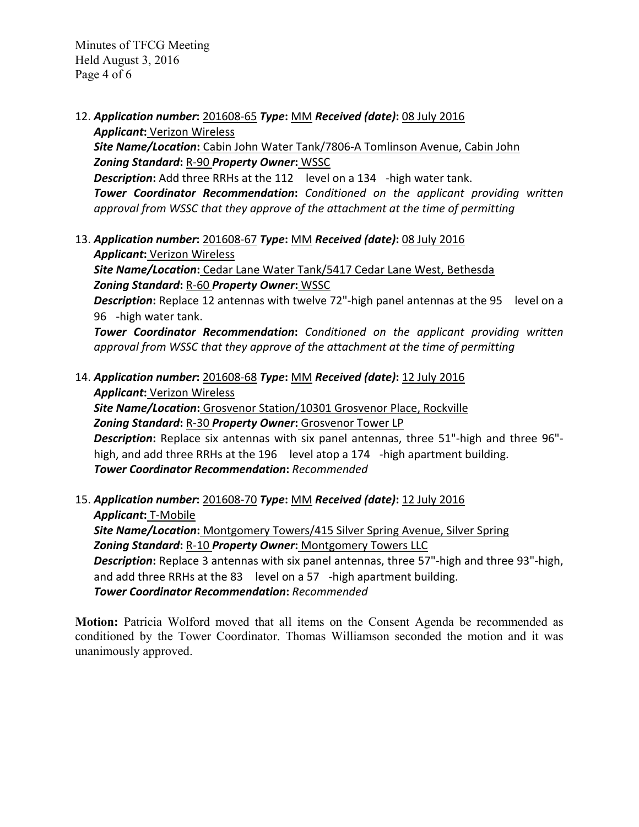- 12. *Application number***:** 201608‐65 *Type***:** MM *Received (date)***:** 08 July 2016 *Applicant***:** Verizon Wireless *Site Name/Location***:** Cabin John Water Tank/7806‐A Tomlinson Avenue, Cabin John *Zoning Standard***:** R‐90 *Property Owner***:** WSSC **Description:** Add three RRHs at the 112 level on a 134 -high water tank. *Tower Coordinator Recommendation***:** *Conditioned on the applicant providing written approval from WSSC that they approve of the attachment at the time of permitting*
- 13. *Application number***:** 201608‐67 *Type***:** MM *Received (date)***:** 08 July 2016 *Applicant***:** Verizon Wireless

*Site Name/Location***:** Cedar Lane Water Tank/5417 Cedar Lane West, Bethesda *Zoning Standard***:** R‐60 *Property Owner***:** WSSC

**Description:** Replace 12 antennas with twelve 72"-high panel antennas at the 95 level on a 96‐high water tank.

*Tower Coordinator Recommendation***:** *Conditioned on the applicant providing written approval from WSSC that they approve of the attachment at the time of permitting*

14. *Application number***:** 201608‐68 *Type***:** MM *Received (date)***:** 12 July 2016 *Applicant***:** Verizon Wireless

*Site Name/Location***:** Grosvenor Station/10301 Grosvenor Place, Rockville *Zoning Standard***:** R‐30 *Property Owner***:** Grosvenor Tower LP *Description***:** Replace six antennas with six panel antennas, three 51"‐high and three 96"‐ high, and add three RRHs at the 196 level atop a 174 -high apartment building.

*Tower Coordinator Recommendation***:** *Recommended*

15. *Application number***:** 201608‐70 *Type***:** MM *Received (date)***:** 12 July 2016 *Applicant***:** T‐Mobile *Site Name/Location***:** Montgomery Towers/415 Silver Spring Avenue, Silver Spring *Zoning Standard***:** R‐10 *Property Owner***:** Montgomery Towers LLC *Description***:** Replace 3 antennas with six panel antennas, three 57"‐high and three 93"‐high,

and add three RRHs at the 83 level on a 57 -high apartment building. *Tower Coordinator Recommendation***:** *Recommended*

**Motion:** Patricia Wolford moved that all items on the Consent Agenda be recommended as conditioned by the Tower Coordinator. Thomas Williamson seconded the motion and it was unanimously approved.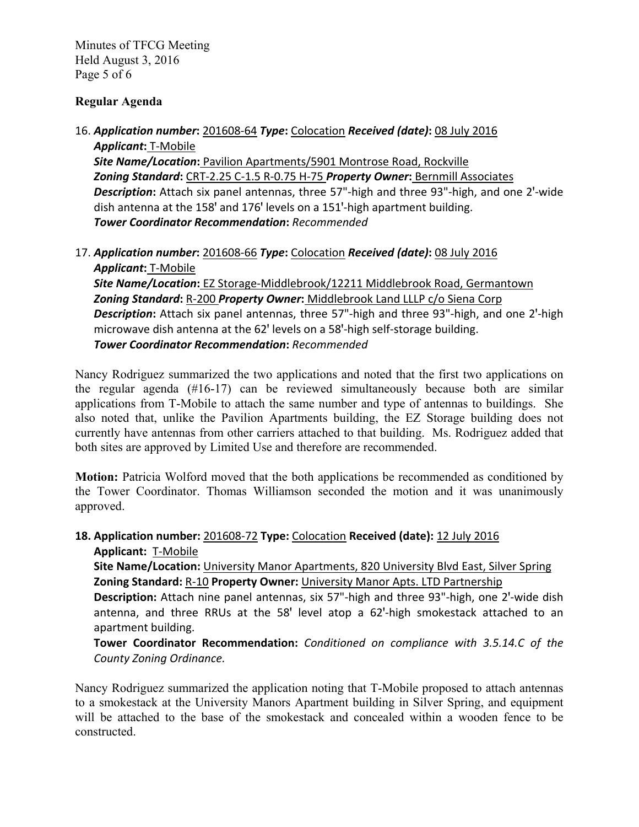Minutes of TFCG Meeting Held August 3, 2016 Page 5 of 6

### **Regular Agenda**

# 16. *Application number***:** 201608‐64 *Type***:** Colocation *Received (date)***:** 08 July 2016

*Applicant***:** T‐Mobile *Site Name/Location***:** Pavilion Apartments/5901 Montrose Road, Rockville *Zoning Standard***:** CRT‐2.25 C‐1.5 R‐0.75 H‐75 *Property Owner***:** Bernmill Associates **Description:** Attach six panel antennas, three 57"-high and three 93"-high, and one 2'-wide dish antenna at the 158' and 176' levels on a 151'-high apartment building. *Tower Coordinator Recommendation***:** *Recommended*

17. *Application number***:** 201608‐66 *Type***:** Colocation *Received (date)***:** 08 July 2016 *Applicant***:** T‐Mobile

*Site Name/Location***:** EZ Storage‐Middlebrook/12211 Middlebrook Road, Germantown *Zoning Standard***:** R‐200 *Property Owner***:** Middlebrook Land LLLP c/o Siena Corp Description: Attach six panel antennas, three 57"-high and three 93"-high, and one 2'-high microwave dish antenna at the 62' levels on a 58'-high self-storage building. *Tower Coordinator Recommendation***:** *Recommended*

Nancy Rodriguez summarized the two applications and noted that the first two applications on the regular agenda  $(\#16-17)$  can be reviewed simultaneously because both are similar applications from T-Mobile to attach the same number and type of antennas to buildings. She also noted that, unlike the Pavilion Apartments building, the EZ Storage building does not currently have antennas from other carriers attached to that building. Ms. Rodriguez added that both sites are approved by Limited Use and therefore are recommended.

**Motion:** Patricia Wolford moved that the both applications be recommended as conditioned by the Tower Coordinator. Thomas Williamson seconded the motion and it was unanimously approved.

## **18. Application number:** 201608‐72 **Type:** Colocation **Received (date):** 12 July 2016 Applicant: T-Mobile

**Site Name/Location:** University Manor Apartments, 820 University Blvd East, Silver Spring **Zoning Standard:** R‐10 **Property Owner:** University Manor Apts. LTD Partnership

Description: Attach nine panel antennas, six 57"-high and three 93"-high, one 2'-wide dish antenna, and three RRUs at the 58' level atop a 62'-high smokestack attached to an apartment building.

**Tower Coordinator Recommendation:** *Conditioned on compliance with 3.5.14.C of the County Zoning Ordinance.*

Nancy Rodriguez summarized the application noting that T-Mobile proposed to attach antennas to a smokestack at the University Manors Apartment building in Silver Spring, and equipment will be attached to the base of the smokestack and concealed within a wooden fence to be constructed.